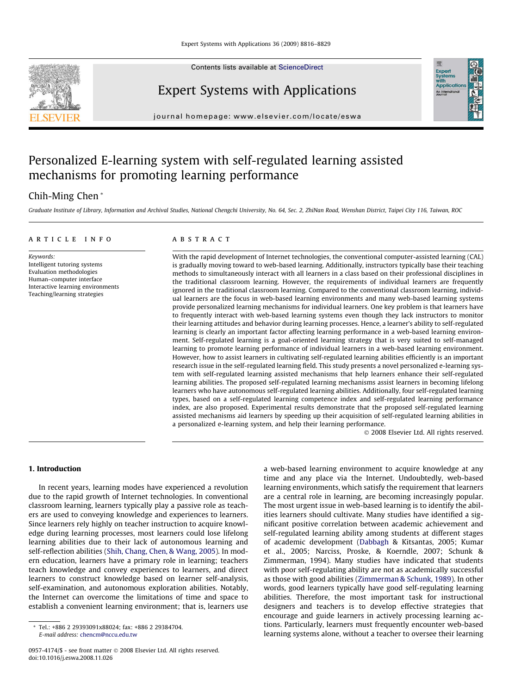Contents lists available at [ScienceDirect](http://www.sciencedirect.com/science/journal/09574174)



## Expert Systems with Applications

journal homepage: [www.elsevier.com/locate/eswa](http://www.elsevier.com/locate/eswa)

# Personalized E-learning system with self-regulated learning assisted mechanisms for promoting learning performance

### Chih-Ming Chen \*

Graduate Institute of Library, Information and Archival Studies, National Chengchi University, No. 64, Sec. 2, ZhiNan Road, Wenshan District, Taipei City 116, Taiwan, ROC

#### article info

Keywords: Intelligent tutoring systems Evaluation methodologies Human–computer interface Interactive learning environments Teaching/learning strategies

#### **ABSTRACT**

With the rapid development of Internet technologies, the conventional computer-assisted learning (CAL) is gradually moving toward to web-based learning. Additionally, instructors typically base their teaching methods to simultaneously interact with all learners in a class based on their professional disciplines in the traditional classroom learning. However, the requirements of individual learners are frequently ignored in the traditional classroom learning. Compared to the conventional classroom learning, individual learners are the focus in web-based learning environments and many web-based learning systems provide personalized learning mechanisms for individual learners. One key problem is that learners have to frequently interact with web-based learning systems even though they lack instructors to monitor their learning attitudes and behavior during learning processes. Hence, a learner's ability to self-regulated learning is clearly an important factor affecting learning performance in a web-based learning environment. Self-regulated learning is a goal-oriented learning strategy that is very suited to self-managed learning to promote learning performance of individual learners in a web-based learning environment. However, how to assist learners in cultivating self-regulated learning abilities efficiently is an important research issue in the self-regulated learning field. This study presents a novel personalized e-learning system with self-regulated learning assisted mechanisms that help learners enhance their self-regulated learning abilities. The proposed self-regulated learning mechanisms assist learners in becoming lifelong learners who have autonomous self-regulated learning abilities. Additionally, four self-regulated learning types, based on a self-regulated learning competence index and self-regulated learning performance index, are also proposed. Experimental results demonstrate that the proposed self-regulated learning assisted mechanisms aid learners by speeding up their acquisition of self-regulated learning abilities in a personalized e-learning system, and help their learning performance.

- 2008 Elsevier Ltd. All rights reserved.

Exper

#### 1. Introduction

In recent years, learning modes have experienced a revolution due to the rapid growth of Internet technologies. In conventional classroom learning, learners typically play a passive role as teachers are used to conveying knowledge and experiences to learners. Since learners rely highly on teacher instruction to acquire knowledge during learning processes, most learners could lose lifelong learning abilities due to their lack of autonomous learning and self-reflection abilities [\(Shih, Chang, Chen, & Wang, 2005\)](#page--1-0). In modern education, learners have a primary role in learning; teachers teach knowledge and convey experiences to learners, and direct learners to construct knowledge based on learner self-analysis, self-examination, and autonomous exploration abilities. Notably, the Internet can overcome the limitations of time and space to establish a convenient learning environment; that is, learners use

\* Tel.: +886 2 29393091x88024; fax: +886 2 29384704. E-mail address: [chencm@nccu.edu.tw](mailto:chencm@nccu.edu.tw)

a web-based learning environment to acquire knowledge at any time and any place via the Internet. Undoubtedly, web-based learning environments, which satisfy the requirement that learners are a central role in learning, are becoming increasingly popular. The most urgent issue in web-based learning is to identify the abilities learners should cultivate. Many studies have identified a significant positive correlation between academic achievement and self-regulated learning ability among students at different stages of academic development [\(Dabbagh](#page--1-0) & Kitsantas, 2005; Kumar et al., 2005; Narciss, Proske, & Koerndle, 2007; Schunk & Zimmerman, 1994). Many studies have indicated that students with poor self-regulating ability are not as academically successful as those with good abilities (Zimmerman & Schunk, 1989). In other words, good learners typically have good self-regulating learning abilities. Therefore, the most important task for instructional designers and teachers is to develop effective strategies that encourage and guide learners in actively processing learning actions. Particularly, learners must frequently encounter web-based learning systems alone, without a teacher to oversee their learning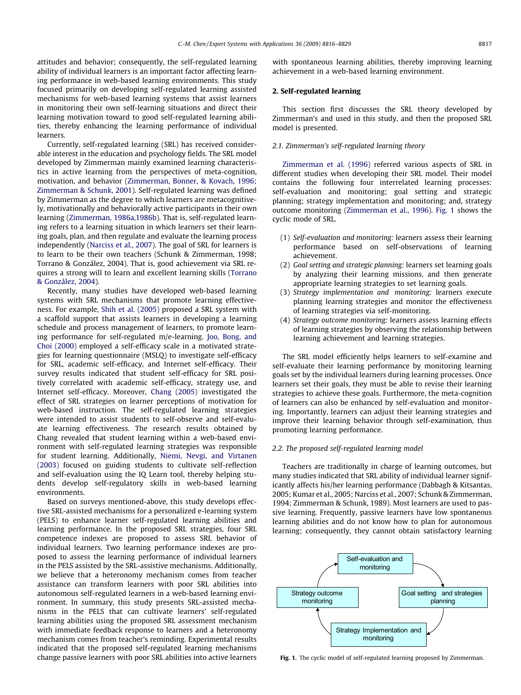attitudes and behavior; consequently, the self-regulated learning ability of individual learners is an important factor affecting learning performance in web-based learning environments. This study focused primarily on developing self-regulated learning assisted mechanisms for web-based learning systems that assist learners in monitoring their own self-learning situations and direct their learning motivation toward to good self-regulated learning abilities, thereby enhancing the learning performance of individual learners.

Currently, self-regulated learning (SRL) has received considerable interest in the education and psychology fields. The SRL model developed by Zimmerman mainly examined learning characteristics in active learning from the perspectives of meta-cognition, motivation, and behavior (Zimmerman, Bonner, & Kovach, 1996; Zimmerman & Schunk, 2001). Self-regulated learning was defined by Zimmerman as the degree to which learners are metacognitively, motivationally and behaviorally active participants in their own learning (Zimmerman, 1986a,1986b). That is, self-regulated learning refers to a learning situation in which learners set their learning goals, plan, and then regulate and evaluate the learning process independently ([Narciss et al., 2007](#page--1-0)). The goal of SRL for learners is to learn to be their own teachers (Schunk & Zimmerman, 1998; Torrano & González, 2004). That is, good achievement via SRL requires a strong will to learn and excellent learning skills ([Torrano](#page--1-0) [& González, 2004\)](#page--1-0).

Recently, many studies have developed web-based learning systems with SRL mechanisms that promote learning effectiveness. For example, [Shih et al. \(2005\)](#page--1-0) proposed a SRL system with a scaffold support that assists learners in developing a learning schedule and process management of learners, to promote learning performance for self-regulated m/e-learning. [Joo, Bong, and](#page--1-0) [Choi \(2000\)](#page--1-0) employed a self-efficacy scale in a motivated strategies for learning questionnaire (MSLQ) to investigate self-efficacy for SRL, academic self-efficacy, and Internet self-efficacy. Their survey results indicated that student self-efficacy for SRL positively correlated with academic self-efficacy, strategy use, and Internet self-efficacy. Moreover, [Chang \(2005\)](#page--1-0) investigated the effect of SRL strategies on learner perceptions of motivation for web-based instruction. The self-regulated learning strategies were intended to assist students to self-observe and self-evaluate learning effectiveness. The research results obtained by Chang revealed that student learning within a web-based environment with self-regulated learning strategies was responsible for student learning. Additionally, [Niemi, Nevgi, and Virtanen](#page--1-0) [\(2003\)](#page--1-0) focused on guiding students to cultivate self-reflection and self-evaluation using the IQ Learn tool, thereby helping students develop self-regulatory skills in web-based learning environments.

Based on surveys mentioned-above, this study develops effective SRL-assisted mechanisms for a personalized e-learning system (PELS) to enhance learner self-regulated learning abilities and learning performance. In the proposed SRL strategies, four SRL competence indexes are proposed to assess SRL behavior of individual learners. Two learning performance indexes are proposed to assess the learning performance of individual learners in the PELS assisted by the SRL-assistive mechanisms. Additionally, we believe that a heteronomy mechanism comes from teacher assistance can transform learners with poor SRL abilities into autonomous self-regulated learners in a web-based learning environment. In summary, this study presents SRL-assisted mechanisms in the PELS that can cultivate learners' self-regulated learning abilities using the proposed SRL assessment mechanism with immediate feedback response to learners and a heteronomy mechanism comes from teacher's reminding. Experimental results indicated that the proposed self-regulated learning mechanisms change passive learners with poor SRL abilities into active learners with spontaneous learning abilities, thereby improving learning achievement in a web-based learning environment.

#### 2. Self-regulated learning

This section first discusses the SRL theory developed by Zimmerman's and used in this study, and then the proposed SRL model is presented.

#### 2.1. Zimmerman's self-regulated learning theory

Zimmerman et al. (1996) referred various aspects of SRL in different studies when developing their SRL model. Their model contains the following four interrelated learning processes: self-evaluation and monitoring; goal setting and strategic planning; strategy implementation and monitoring; and, strategy outcome monitoring (Zimmerman et al., 1996). Fig. 1 shows the cyclic mode of SRL.

- (1) Self-evaluation and monitoring: learners assess their learning performance based on self-observations of learning achievement.
- (2) Goal setting and strategic planning: learners set learning goals by analyzing their learning missions, and then generate appropriate learning strategies to set learning goals.
- (3) Strategy implementation and monitoring: learners execute planning learning strategies and monitor the effectiveness of learning strategies via self-monitoring.
- (4) Strategy outcome monitoring: learners assess learning effects of learning strategies by observing the relationship between learning achievement and learning strategies.

The SRL model efficiently helps learners to self-examine and self-evaluate their learning performance by monitoring learning goals set by the individual learners during learning processes. Once learners set their goals, they must be able to revise their learning strategies to achieve these goals. Furthermore, the meta-cognition of learners can also be enhanced by self-evaluation and monitoring. Importantly, learners can adjust their learning strategies and improve their learning behavior through self-examination, thus promoting learning performance.

#### 2.2. The proposed self-regulated learning model

Teachers are traditionally in charge of learning outcomes, but many studies indicated that SRL ability of individual learner significantly affects his/her learning performance (Dabbagh & Kitsantas, 2005; Kumar et al., 2005; Narciss et al., 2007; Schunk & Zimmerman, 1994; Zimmerman & Schunk, 1989). Most learners are used to passive learning. Frequently, passive learners have low spontaneous learning abilities and do not know how to plan for autonomous learning; consequently, they cannot obtain satisfactory learning



Fig. 1. The cyclic model of self-regulated learning proposed by Zimmerman.